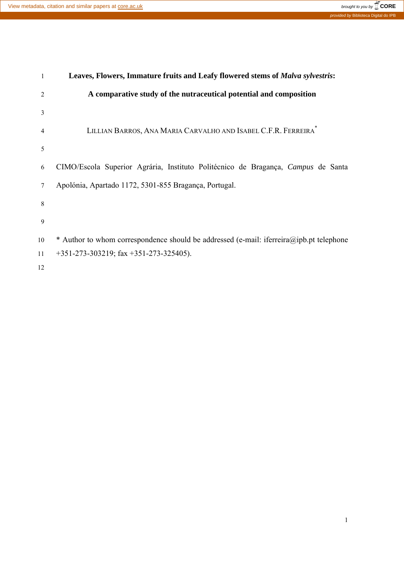

| 1              | Leaves, Flowers, Immature fruits and Leafy flowered stems of Malva sylvestris:          |
|----------------|-----------------------------------------------------------------------------------------|
| $\overline{2}$ | A comparative study of the nutraceutical potential and composition                      |
| 3              |                                                                                         |
| $\overline{4}$ | LILLIAN BARROS, ANA MARIA CARVALHO AND ISABEL C.F.R. FERREIRA                           |
| 5              |                                                                                         |
| 6              | CIMO/Escola Superior Agrária, Instituto Politécnico de Bragança, Campus de Santa        |
| 7              | Apolónia, Apartado 1172, 5301-855 Bragança, Portugal.                                   |
| 8              |                                                                                         |
| 9              |                                                                                         |
| 10             | * Author to whom correspondence should be addressed (e-mail: iferreira@ipb.pt telephone |
| 11             | $+351-273-303219$ ; fax $+351-273-325405$ ).                                            |
| 12             |                                                                                         |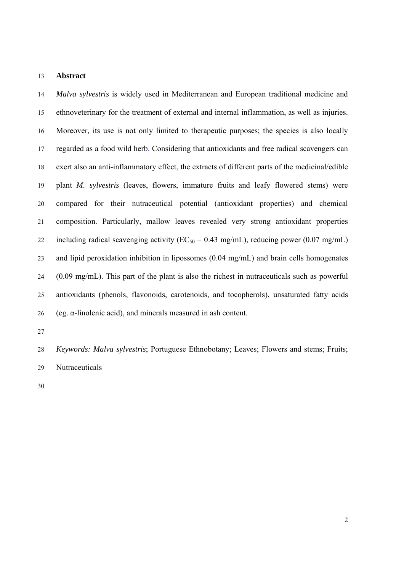#### 13 **Abstract**

14 *Malva sylvestris* is widely used in Mediterranean and European traditional medicine and 15 ethnoveterinary for the treatment of external and internal inflammation, as well as injuries. 16 Moreover, its use is not only limited to therapeutic purposes; the species is also locally 17 regarded as a food wild herb. Considering that antioxidants and free radical scavengers can 18 exert also an anti-inflammatory effect, the extracts of different parts of the medicinal/edible 19 plant *M. sylvestris* (leaves, flowers, immature fruits and leafy flowered stems) were 20 compared for their nutraceutical potential (antioxidant properties) and chemical 21 composition. Particularly, mallow leaves revealed very strong antioxidant properties 22 including radical scavenging activity ( $EC_{50} = 0.43$  mg/mL), reducing power (0.07 mg/mL) 23 and lipid peroxidation inhibition in lipossomes (0.04 mg/mL) and brain cells homogenates 24 (0.09 mg/mL). This part of the plant is also the richest in nutraceuticals such as powerful 25 antioxidants (phenols, flavonoids, carotenoids, and tocopherols), unsaturated fatty acids 26 (eg. α-linolenic acid), and minerals measured in ash content.

27

28 *Keywords: Malva sylvestris*; Portuguese Ethnobotany; Leaves; Flowers and stems; Fruits; 29 Nutraceuticals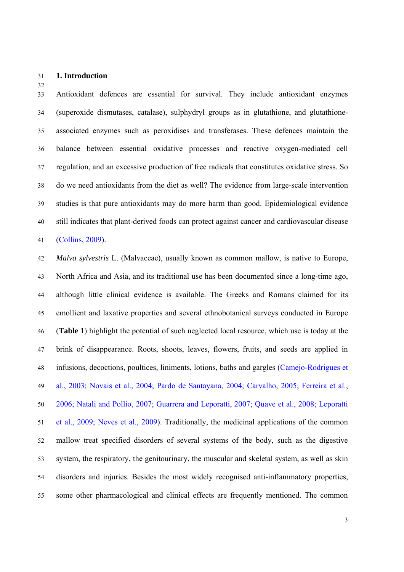#### 31 **1. Introduction**

32

33 Antioxidant defences are essential for survival. They include antioxidant enzymes 34 (superoxide dismutases, catalase), sulphydryl groups as in glutathione, and glutathione-35 associated enzymes such as peroxidises and transferases. These defences maintain the 36 balance between essential oxidative processes and reactive oxygen-mediated cell 37 regulation, and an excessive production of free radicals that constitutes oxidative stress. So 38 do we need antioxidants from the diet as well? The evidence from large-scale intervention 39 studies is that pure antioxidants may do more harm than good. Epidemiological evidence 40 still indicates that plant-derived foods can protect against cancer and cardiovascular disease 41 (Collins, 2009).

42 *Malva sylvestris* L. (Malvaceae), usually known as common mallow, is native to Europe, 43 North Africa and Asia, and its traditional use has been documented since a long-time ago, 44 although little clinical evidence is available. The Greeks and Romans claimed for its 45 emollient and laxative properties and several ethnobotanical surveys conducted in Europe 46 (**Table 1**) highlight the potential of such neglected local resource, which use is today at the 47 brink of disappearance. Roots, shoots, leaves, flowers, fruits, and seeds are applied in 48 infusions, decoctions, poultices, liniments, lotions, baths and gargles (Camejo-Rodrigues et 49 al., 2003; Novais et al., 2004; Pardo de Santayana, 2004; Carvalho, 2005; Ferreira et al., 50 2006; Natali and Pollio, 2007; Guarrera and Leporatti, 2007; Quave et al., 2008; Leporatti 51 et al., 2009; Neves et al., 2009). Traditionally, the medicinal applications of the common 52 mallow treat specified disorders of several systems of the body, such as the digestive 53 system, the respiratory, the genitourinary, the muscular and skeletal system, as well as skin 54 disorders and injuries. Besides the most widely recognised anti-inflammatory properties, 55 some other pharmacological and clinical effects are frequently mentioned. The common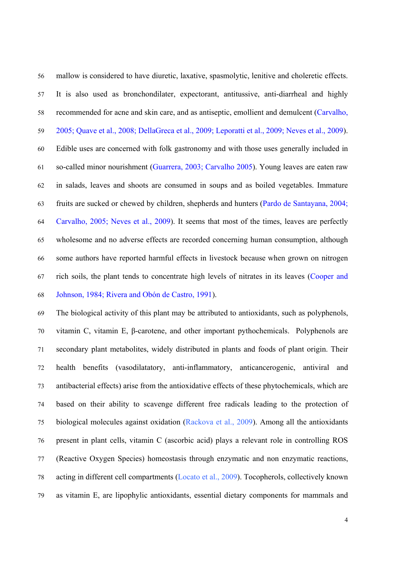56 mallow is considered to have diuretic, laxative, spasmolytic, lenitive and choleretic effects. 57 It is also used as bronchondilater, expectorant, antitussive, anti-diarrheal and highly 58 recommended for acne and skin care, and as antiseptic, emollient and demulcent (Carvalho, 59 2005; Quave et al., 2008; DellaGreca et al., 2009; Leporatti et al., 2009; Neves et al., 2009). 60 Edible uses are concerned with folk gastronomy and with those uses generally included in 61 so-called minor nourishment (Guarrera, 2003; Carvalho 2005). Young leaves are eaten raw 62 in salads, leaves and shoots are consumed in soups and as boiled vegetables. Immature 63 fruits are sucked or chewed by children, shepherds and hunters (Pardo de Santayana, 2004; 64 Carvalho, 2005; Neves et al., 2009). It seems that most of the times, leaves are perfectly 65 wholesome and no adverse effects are recorded concerning human consumption, although 66 some authors have reported harmful effects in livestock because when grown on nitrogen 67 rich soils, the plant tends to concentrate high levels of nitrates in its leaves (Cooper and 68 Johnson, 1984; Rivera and Obón de Castro, 1991).

69 The biological activity of this plant may be attributed to antioxidants, such as polyphenols, 70 vitamin C, vitamin E, β-carotene, and other important pythochemicals. Polyphenols are 71 secondary plant metabolites, widely distributed in plants and foods of plant origin. Their 72 health benefits (vasodilatatory, anti-inflammatory, anticancerogenic, antiviral and 73 antibacterial effects) arise from the antioxidative effects of these phytochemicals, which are 74 based on their ability to scavenge different free radicals leading to the protection of 75 biological molecules against oxidation (Rackova et al., 2009). Among all the antioxidants 76 present in plant cells, vitamin C (ascorbic acid) plays a relevant role in controlling ROS 77 (Reactive Oxygen Species) homeostasis through enzymatic and non enzymatic reactions, 78 acting in different cell compartments (Locato et al., 2009). Tocopherols, collectively known 79 as vitamin E, are lipophylic antioxidants, essential dietary components for mammals and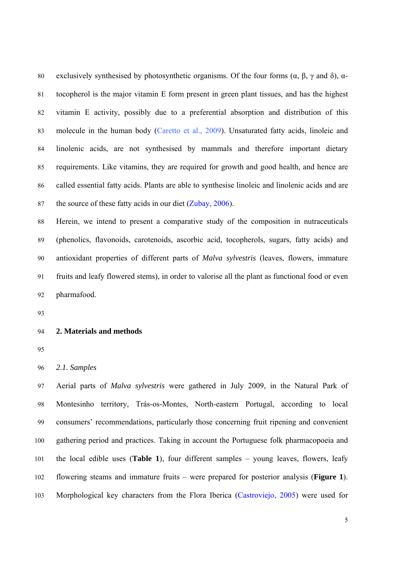80 exclusively synthesised by photosynthetic organisms. Of the four forms  $(\alpha, \beta, \gamma \text{ and } \delta)$ ,  $\alpha$ -81 tocopherol is the major vitamin E form present in green plant tissues, and has the highest 82 vitamin E activity, possibly due to a preferential absorption and distribution of this 83 molecule in the human body (Caretto et al., 2009). Unsaturated fatty acids, linoleic and 84 linolenic acids, are not synthesised by mammals and therefore important dietary 85 requirements. Like vitamins, they are required for growth and good health, and hence are 86 called essential fatty acids. Plants are able to synthesise linoleic and linolenic acids and are 87 the source of these fatty acids in our diet (Zubay, 2006).

88 Herein, we intend to present a comparative study of the composition in nutraceuticals 89 (phenolics, flavonoids, carotenoids, ascorbic acid, tocopherols, sugars, fatty acids) and 90 antioxidant properties of different parts of *Malva sylvestris* (leaves, flowers, immature 91 fruits and leafy flowered stems), in order to valorise all the plant as functional food or even 92 pharmafood.

93

## 94 **2. Materials and methods**

95

96 *2.1. Samples* 

97 Aerial parts of *Malva sylvestris* were gathered in July 2009, in the Natural Park of 98 Montesinho territory, Trás-os-Montes, North-eastern Portugal, according to local 99 consumers' recommendations, particularly those concerning fruit ripening and convenient 100 gathering period and practices. Taking in account the Portuguese folk pharmacopoeia and 101 the local edible uses (**Table 1**), four different samples – young leaves, flowers, leafy 102 flowering steams and immature fruits – were prepared for posterior analysis (**Figure 1**). 103 Morphological key characters from the Flora Iberica (Castroviejo, 2005) were used for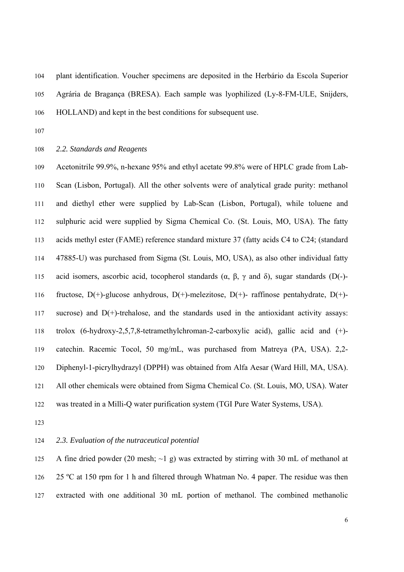104 plant identification. Voucher specimens are deposited in the Herbário da Escola Superior 105 Agrária de Bragança (BRESA). Each sample was lyophilized (Ly-8-FM-ULE, Snijders, 106 HOLLAND) and kept in the best conditions for subsequent use.

107

#### 108 *2.2. Standards and Reagents*

109 Acetonitrile 99.9%, n-hexane 95% and ethyl acetate 99.8% were of HPLC grade from Lab-110 Scan (Lisbon, Portugal). All the other solvents were of analytical grade purity: methanol 111 and diethyl ether were supplied by Lab-Scan (Lisbon, Portugal), while toluene and 112 sulphuric acid were supplied by Sigma Chemical Co. (St. Louis, MO, USA). The fatty 113 acids methyl ester (FAME) reference standard mixture 37 (fatty acids C4 to C24; (standard 114 47885-U) was purchased from Sigma (St. Louis, MO, USA), as also other individual fatty 115 acid isomers, ascorbic acid, tocopherol standards (α, β, γ and δ), sugar standards (D(-)-116 fructose, D(+)-glucose anhydrous, D(+)-melezitose, D(+)- raffinose pentahydrate, D(+)- 117 sucrose) and D(+)-trehalose, and the standards used in the antioxidant activity assays: 118 trolox (6-hydroxy-2,5,7,8-tetramethylchroman-2-carboxylic acid), gallic acid and (+)- 119 catechin. Racemic Tocol, 50 mg/mL, was purchased from Matreya (PA, USA). 2,2- 120 Diphenyl-1-picrylhydrazyl (DPPH) was obtained from Alfa Aesar (Ward Hill, MA, USA). 121 All other chemicals were obtained from Sigma Chemical Co. (St. Louis, MO, USA). Water 122 was treated in a Milli-Q water purification system (TGI Pure Water Systems, USA).

123

#### 124 *2.3. Evaluation of the nutraceutical potential*

125 A fine dried powder (20 mesh; ~1 g) was extracted by stirring with 30 mL of methanol at 126 25 ºC at 150 rpm for 1 h and filtered through Whatman No. 4 paper. The residue was then 127 extracted with one additional 30 mL portion of methanol. The combined methanolic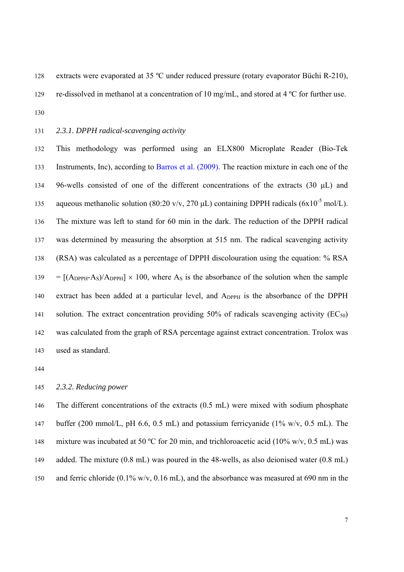128 extracts were evaporated at 35 °C under reduced pressure (rotary evaporator Büchi R-210), 129 re-dissolved in methanol at a concentration of 10 mg/mL, and stored at 4 ºC for further use.

130

131 *2.3.1. DPPH radical-scavenging activity* 

132 This methodology was performed using an ELX800 Microplate Reader (Bio-Tek 133 Instruments, Inc), according to Barros et al. (2009). The reaction mixture in each one of the 134 96-wells consisted of one of the different concentrations of the extracts (30 μL) and aqueous methanolic solution (80:20 v/v, 270  $\mu$ L) containing DPPH radicals (6x10<sup>-5</sup> mol/L). 136 The mixture was left to stand for 60 min in the dark. The reduction of the DPPH radical 137 was determined by measuring the absorption at 515 nm. The radical scavenging activity 138 (RSA) was calculated as a percentage of DPPH discolouration using the equation: % RSA  $139 = [(A_{DPPH}-A_S)/A_{DPPH}] \times 100$ , where A<sub>S</sub> is the absorbance of the solution when the sample 140 extract has been added at a particular level, and A<sub>DPPH</sub> is the absorbance of the DPPH 141 solution. The extract concentration providing  $50\%$  of radicals scavenging activity (EC<sub>50</sub>) 142 was calculated from the graph of RSA percentage against extract concentration. Trolox was 143 used as standard.

144

# 145 *2.3.2. Reducing power*

146 The different concentrations of the extracts (0.5 mL) were mixed with sodium phosphate 147 buffer (200 mmol/L, pH 6.6, 0.5 mL) and potassium ferricyanide (1% w/v, 0.5 mL). The 148 mixture was incubated at 50 °C for 20 min, and trichloroacetic acid (10% w/v, 0.5 mL) was 149 added. The mixture (0.8 mL) was poured in the 48-wells, as also deionised water (0.8 mL) 150 and ferric chloride (0.1% w/v, 0.16 mL), and the absorbance was measured at 690 nm in the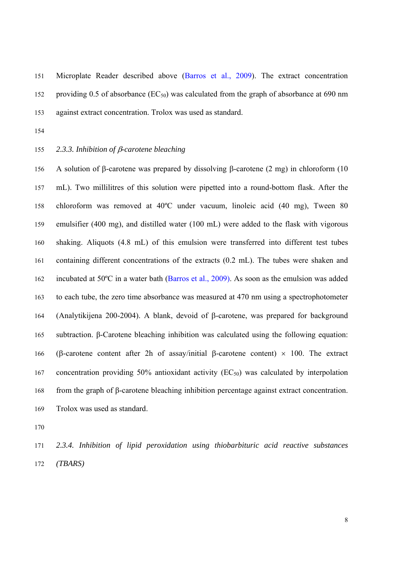151 Microplate Reader described above (Barros et al., 2009). The extract concentration 152 providing 0.5 of absorbance  $(EC_{50})$  was calculated from the graph of absorbance at 690 nm 153 against extract concentration. Trolox was used as standard.

154

## 155 *2.3.3. Inhibition of* β*-carotene bleaching*

156 A solution of β-carotene was prepared by dissolving β-carotene (2 mg) in chloroform (10 157 mL). Two millilitres of this solution were pipetted into a round-bottom flask. After the 158 chloroform was removed at 40ºC under vacuum, linoleic acid (40 mg), Tween 80 159 emulsifier (400 mg), and distilled water (100 mL) were added to the flask with vigorous 160 shaking. Aliquots (4.8 mL) of this emulsion were transferred into different test tubes 161 containing different concentrations of the extracts (0.2 mL). The tubes were shaken and 162 incubated at 50ºC in a water bath (Barros et al., 2009). As soon as the emulsion was added 163 to each tube, the zero time absorbance was measured at 470 nm using a spectrophotometer 164 (Analytikijena 200-2004). A blank, devoid of β-carotene, was prepared for background 165 subtraction. β-Carotene bleaching inhibition was calculated using the following equation: 166 (β-carotene content after 2h of assay/initial β-carotene content) × 100. The extract 167 concentration providing 50% antioxidant activity  $(EC_{50})$  was calculated by interpolation 168 from the graph of β-carotene bleaching inhibition percentage against extract concentration. 169 Trolox was used as standard.

170

171 *2.3.4. Inhibition of lipid peroxidation using thiobarbituric acid reactive substances*  172 *(TBARS)*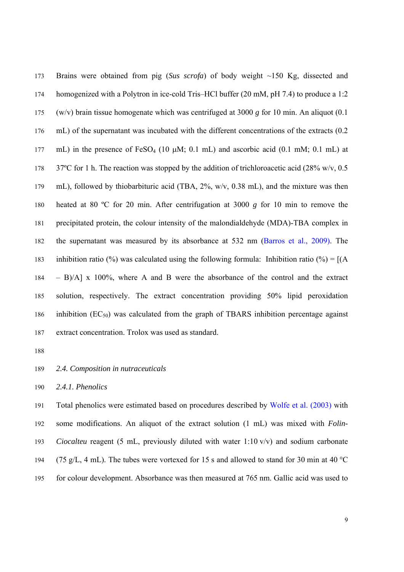173 Brains were obtained from pig (*Sus scrofa*) of body weight ~150 Kg, dissected and 174 homogenized with a Polytron in ice-cold Tris–HCl buffer (20 mM, pH 7.4) to produce a 1:2 175 (w/v) brain tissue homogenate which was centrifuged at 3000 *g* for 10 min. An aliquot (0.1 176 mL) of the supernatant was incubated with the different concentrations of the extracts (0.2 177 mL) in the presence of  $FeSO_4$  (10  $\mu$ M; 0.1 mL) and ascorbic acid (0.1 mM; 0.1 mL) at 178 37°C for 1 h. The reaction was stopped by the addition of trichloroacetic acid (28% w/v, 0.5) 179 mL), followed by thiobarbituric acid (TBA, 2%, w/v, 0.38 mL), and the mixture was then 180 heated at 80 ºC for 20 min. After centrifugation at 3000 *g* for 10 min to remove the 181 precipitated protein, the colour intensity of the malondialdehyde (MDA)-TBA complex in 182 the supernatant was measured by its absorbance at 532 nm (Barros et al., 2009). The 183 inhibition ratio (%) was calculated using the following formula: Inhibition ratio (%) =  $[(A \times B) \cdot A \cdot B \cdot B \cdot B \cdot C]$ 184 – B)/A] x 100%, where A and B were the absorbance of the control and the extract 185 solution, respectively. The extract concentration providing 50% lipid peroxidation 186 inhibition  $(EC_{50})$  was calculated from the graph of TBARS inhibition percentage against 187 extract concentration. Trolox was used as standard.

188

# 189 *2.4. Composition in nutraceuticals*

190 *2.4.1. Phenolics* 

191 Total phenolics were estimated based on procedures described by Wolfe et al. (2003) with 192 some modifications. An aliquot of the extract solution (1 mL) was mixed with *Folin-*193 *Ciocalteu* reagent (5 mL, previously diluted with water 1:10 v/v) and sodium carbonate 194 (75 g/L, 4 mL). The tubes were vortexed for 15 s and allowed to stand for 30 min at 40  $^{\circ}$ C 195 for colour development. Absorbance was then measured at 765 nm. Gallic acid was used to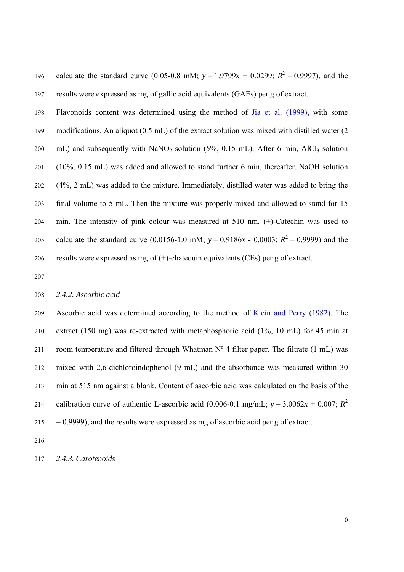196 calculate the standard curve (0.05-0.8 mM;  $y = 1.9799x + 0.0299$ ;  $R^2 = 0.9997$ ), and the 197 results were expressed as mg of gallic acid equivalents (GAEs) per g of extract.

198 Flavonoids content was determined using the method of Jia et al. (1999), with some 199 modifications. An aliquot (0.5 mL) of the extract solution was mixed with distilled water (2 200 mL) and subsequently with  $NaNO<sub>2</sub>$  solution (5%, 0.15 mL). After 6 min, AlCl<sub>3</sub> solution 201 (10%, 0.15 mL) was added and allowed to stand further 6 min, thereafter, NaOH solution 202 (4%, 2 mL) was added to the mixture. Immediately, distilled water was added to bring the 203 final volume to 5 mL. Then the mixture was properly mixed and allowed to stand for 15 204 min. The intensity of pink colour was measured at 510 nm. (+)-Catechin was used to calculate the standard curve (0.0156-1.0 mM;  $y = 0.9186x - 0.0003$ ;  $R^2 = 0.9999$ ) and the 206 results were expressed as mg of (+)-chatequin equivalents (CEs) per g of extract.

207

# 208 *2.4.2. Ascorbic acid*

209 Ascorbic acid was determined according to the method of Klein and Perry (1982). The 210 extract (150 mg) was re-extracted with metaphosphoric acid (1%, 10 mL) for 45 min at 211 room temperature and filtered through Whatman  $N^{\circ}$  4 filter paper. The filtrate (1 mL) was 212 mixed with 2,6-dichloroindophenol (9 mL) and the absorbance was measured within 30 213 min at 515 nm against a blank. Content of ascorbic acid was calculated on the basis of the calibration curve of authentic L-ascorbic acid (0.006-0.1 mg/mL;  $y = 3.0062x + 0.007$ ;  $R^2$  $215 = 0.9999$ , and the results were expressed as mg of ascorbic acid per g of extract.

216

217 *2.4.3. Carotenoids*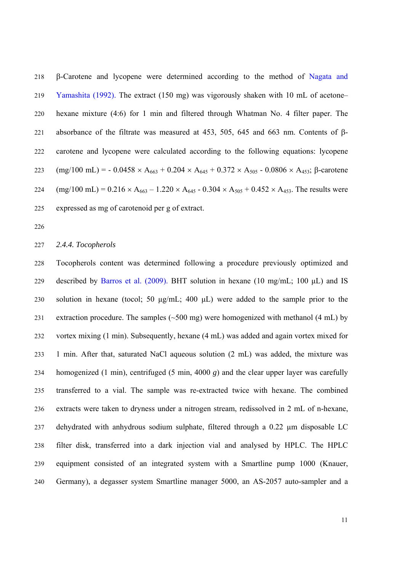218 β-Carotene and lycopene were determined according to the method of Nagata and 219 Yamashita (1992). The extract (150 mg) was vigorously shaken with 10 mL of acetone– 220 hexane mixture (4:6) for 1 min and filtered through Whatman No. 4 filter paper. The 221 absorbance of the filtrate was measured at 453, 505, 645 and 663 nm. Contents of β-222 carotene and lycopene were calculated according to the following equations: lycopene 223 (mg/100 mL) = - 0.0458 × A<sub>663</sub> + 0.204 × A<sub>645</sub> + 0.372 × A<sub>505</sub> - 0.0806 × A<sub>453</sub>; β-carotene 224 (mg/100 mL) =  $0.216 \times A_{663} - 1.220 \times A_{645} - 0.304 \times A_{505} + 0.452 \times A_{453}$ . The results were 225 expressed as mg of carotenoid per g of extract.

226

228 Tocopherols content was determined following a procedure previously optimized and 229 described by Barros et al. (2009). BHT solution in hexane (10 mg/mL; 100 µL) and IS 230 solution in hexane (tocol; 50 μg/mL; 400 μL) were added to the sample prior to the 231 extraction procedure. The samples  $(\sim 500 \text{ mg})$  were homogenized with methanol (4 mL) by 232 vortex mixing (1 min). Subsequently, hexane (4 mL) was added and again vortex mixed for 233 1 min. After that, saturated NaCl aqueous solution (2 mL) was added, the mixture was 234 homogenized (1 min), centrifuged (5 min, 4000 *g*) and the clear upper layer was carefully 235 transferred to a vial. The sample was re-extracted twice with hexane. The combined 236 extracts were taken to dryness under a nitrogen stream, redissolved in 2 mL of n-hexane, 237 dehydrated with anhydrous sodium sulphate, filtered through a 0.22 µm disposable LC 238 filter disk, transferred into a dark injection vial and analysed by HPLC. The HPLC 239 equipment consisted of an integrated system with a Smartline pump 1000 (Knauer, 240 Germany), a degasser system Smartline manager 5000, an AS-2057 auto-sampler and a

<sup>227</sup> *2.4.4. Tocopherols*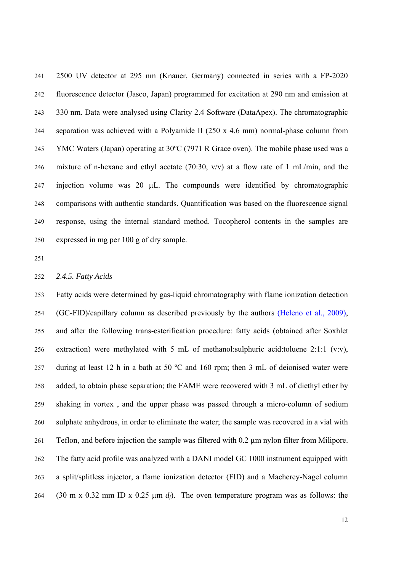241 2500 UV detector at 295 nm (Knauer, Germany) connected in series with a FP-2020 242 fluorescence detector (Jasco, Japan) programmed for excitation at 290 nm and emission at 243 330 nm. Data were analysed using Clarity 2.4 Software (DataApex). The chromatographic 244 separation was achieved with a Polyamide II (250 x 4.6 mm) normal-phase column from 245 YMC Waters (Japan) operating at 30ºC (7971 R Grace oven). The mobile phase used was a 246 mixture of n-hexane and ethyl acetate (70:30, v/v) at a flow rate of 1 mL/min, and the 247 injection volume was 20 µL. The compounds were identified by chromatographic 248 comparisons with authentic standards. Quantification was based on the fluorescence signal 249 response, using the internal standard method. Tocopherol contents in the samples are 250 expressed in mg per 100 g of dry sample.

251

#### 252 *2.4.5. Fatty Acids*

253 Fatty acids were determined by gas-liquid chromatography with flame ionization detection 254 (GC-FID)/capillary column as described previously by the authors (Heleno et al., 2009), 255 and after the following trans-esterification procedure: fatty acids (obtained after Soxhlet 256 extraction) were methylated with 5 mL of methanol:sulphuric acid:toluene 2:1:1 (v:v), 257 during at least 12 h in a bath at 50 ºC and 160 rpm; then 3 mL of deionised water were 258 added, to obtain phase separation; the FAME were recovered with 3 mL of diethyl ether by 259 shaking in vortex , and the upper phase was passed through a micro-column of sodium 260 sulphate anhydrous, in order to eliminate the water; the sample was recovered in a vial with 261 Teflon, and before injection the sample was filtered with 0.2 µm nylon filter from Milipore. 262 The fatty acid profile was analyzed with a DANI model GC 1000 instrument equipped with 263 a split/splitless injector, a flame ionization detector (FID) and a Macherey-Nagel column 264 (30 m x 0.32 mm ID x 0.25 µm *df*). The oven temperature program was as follows: the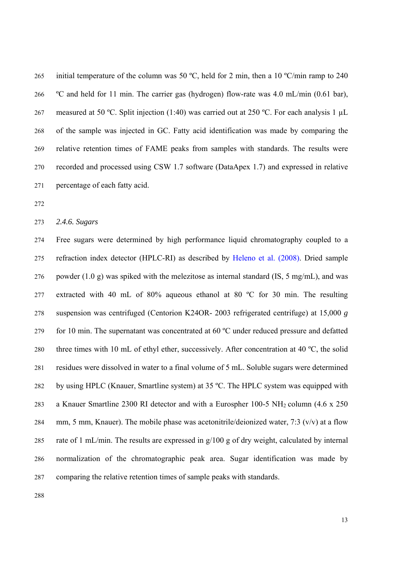265 initial temperature of the column was 50 °C, held for 2 min, then a 10 °C/min ramp to 240 266 ºC and held for 11 min. The carrier gas (hydrogen) flow-rate was 4.0 mL/min (0.61 bar), 267 measured at 50 °C. Split injection (1:40) was carried out at 250 °C. For each analysis 1 µL 268 of the sample was injected in GC. Fatty acid identification was made by comparing the 269 relative retention times of FAME peaks from samples with standards. The results were 270 recorded and processed using CSW 1.7 software (DataApex 1.7) and expressed in relative 271 percentage of each fatty acid.

272

#### 273 *2.4.6. Sugars*

274 Free sugars were determined by high performance liquid chromatography coupled to a 275 refraction index detector (HPLC-RI) as described by Heleno et al. (2008). Dried sample 276 powder (1.0 g) was spiked with the melezitose as internal standard (IS, 5 mg/mL), and was 277 extracted with 40 mL of 80% aqueous ethanol at 80 ºC for 30 min. The resulting 278 suspension was centrifuged (Centorion K24OR- 2003 refrigerated centrifuge) at 15,000 *g*  279 for 10 min. The supernatant was concentrated at 60 °C under reduced pressure and defatted 280 three times with 10 mL of ethyl ether, successively. After concentration at 40 ºC, the solid 281 residues were dissolved in water to a final volume of 5 mL. Soluble sugars were determined 282 by using HPLC (Knauer, Smartline system) at 35 ºC. The HPLC system was equipped with 283 a Knauer Smartline 2300 RI detector and with a Eurospher 100-5 NH<sub>2</sub> column (4.6 x 250) 284 mm, 5 mm, Knauer). The mobile phase was acetonitrile/deionized water, 7:3  $(v/v)$  at a flow 285 rate of 1 mL/min. The results are expressed in g/100 g of dry weight, calculated by internal 286 normalization of the chromatographic peak area. Sugar identification was made by 287 comparing the relative retention times of sample peaks with standards.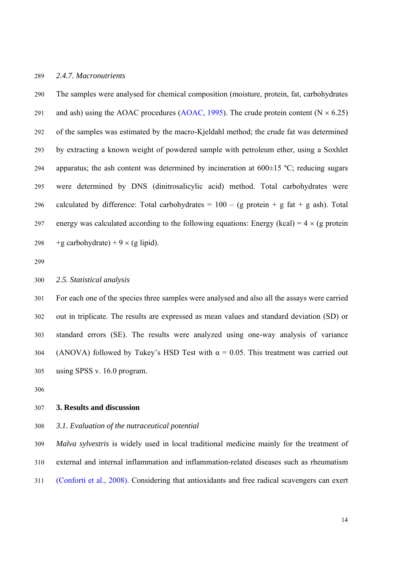#### 289 *2.4.7. Macronutrients*

290 The samples were analysed for chemical composition (moisture, protein, fat, carbohydrates 291 and ash) using the AOAC procedures (AOAC, 1995). The crude protein content ( $N \times 6.25$ ) 292 of the samples was estimated by the macro-Kjeldahl method; the crude fat was determined 293 by extracting a known weight of powdered sample with petroleum ether, using a Soxhlet 294 apparatus; the ash content was determined by incineration at  $600\pm15$  °C; reducing sugars 295 were determined by DNS (dinitrosalicylic acid) method. Total carbohydrates were 296 calculated by difference: Total carbohydrates =  $100 - (g \text{ protein} + g \text{ fat} + g \text{ ash})$ . Total 297 energy was calculated according to the following equations: Energy (kcal) =  $4 \times$  (g protein 298 +g carbohydrate) + 9  $\times$  (g lipid).

299

#### 300 *2.5. Statistical analysis*

301 For each one of the species three samples were analysed and also all the assays were carried 302 out in triplicate. The results are expressed as mean values and standard deviation (SD) or 303 standard errors (SE). The results were analyzed using one-way analysis of variance 304 (ANOVA) followed by Tukey's HSD Test with  $\alpha = 0.05$ . This treatment was carried out 305 using SPSS v. 16.0 program.

306

# 307 **3. Results and discussion**

#### 308 *3.1. Evaluation of the nutraceutical potential*

309 *Malva sylvestris* is widely used in local traditional medicine mainly for the treatment of 310 external and internal inflammation and inflammation-related diseases such as rheumatism 311 (Conforti et al., 2008). Considering that antioxidants and free radical scavengers can exert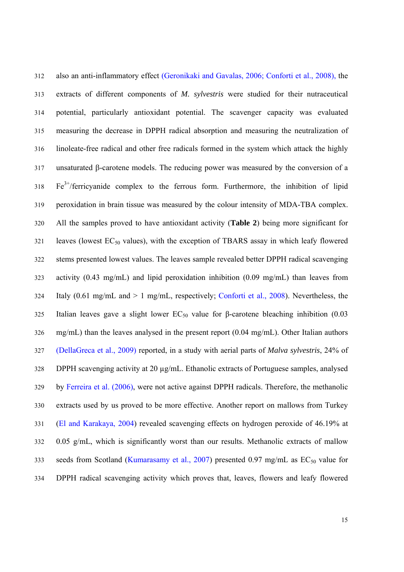312 also an anti-inflammatory effect (Geronikaki and Gavalas, 2006; Conforti et al., 2008), the 313 extracts of different components of *M. sylvestris* were studied for their nutraceutical 314 potential, particularly antioxidant potential. The scavenger capacity was evaluated 315 measuring the decrease in DPPH radical absorption and measuring the neutralization of 316 linoleate-free radical and other free radicals formed in the system which attack the highly 317 unsaturated β-carotene models. The reducing power was measured by the conversion of a  $F e^{3+}$ /ferricyanide complex to the ferrous form. Furthermore, the inhibition of lipid 319 peroxidation in brain tissue was measured by the colour intensity of MDA-TBA complex. 320 All the samples proved to have antioxidant activity (**Table 2**) being more significant for  $321$  leaves (lowest EC<sub>50</sub> values), with the exception of TBARS assay in which leafy flowered 322 stems presented lowest values. The leaves sample revealed better DPPH radical scavenging 323 activity (0.43 mg/mL) and lipid peroxidation inhibition (0.09 mg/mL) than leaves from 324 Italy (0.61 mg/mL and > 1 mg/mL, respectively; Conforti et al., 2008). Nevertheless, the 325 Italian leaves gave a slight lower  $EC_{50}$  value for β-carotene bleaching inhibition (0.03 326 mg/mL) than the leaves analysed in the present report (0.04 mg/mL). Other Italian authors 327 (DellaGreca et al., 2009) reported, in a study with aerial parts of *Malva sylvestris*, 24% of 328 DPPH scavenging activity at 20 µg/mL. Ethanolic extracts of Portuguese samples, analysed 329 by Ferreira et al. (2006), were not active against DPPH radicals. Therefore, the methanolic 330 extracts used by us proved to be more effective. Another report on mallows from Turkey 331 (El and Karakaya, 2004) revealed scavenging effects on hydrogen peroxide of 46.19% at 332 0.05 g/mL, which is significantly worst than our results. Methanolic extracts of mallow 333 seeds from Scotland (Kumarasamy et al., 2007) presented 0.97 mg/mL as  $EC_{50}$  value for 334 DPPH radical scavenging activity which proves that, leaves, flowers and leafy flowered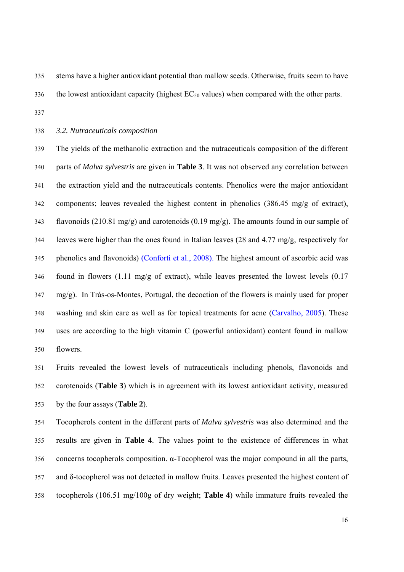335 stems have a higher antioxidant potential than mallow seeds. Otherwise, fruits seem to have 336 the lowest antioxidant capacity (highest  $EC_{50}$  values) when compared with the other parts.

337

338 *3.2. Nutraceuticals composition* 

339 The yields of the methanolic extraction and the nutraceuticals composition of the different 340 parts of *Malva sylvestris* are given in **Table 3**. It was not observed any correlation between 341 the extraction yield and the nutraceuticals contents. Phenolics were the major antioxidant 342 components; leaves revealed the highest content in phenolics (386.45 mg/g of extract), 343 flavonoids (210.81 mg/g) and carotenoids (0.19 mg/g). The amounts found in our sample of 344 leaves were higher than the ones found in Italian leaves (28 and 4.77 mg/g, respectively for 345 phenolics and flavonoids) (Conforti et al., 2008). The highest amount of ascorbic acid was 346 found in flowers (1.11 mg/g of extract), while leaves presented the lowest levels (0.17 347 mg/g). In Trás-os-Montes, Portugal, the decoction of the flowers is mainly used for proper 348 washing and skin care as well as for topical treatments for acne (Carvalho, 2005). These 349 uses are according to the high vitamin C (powerful antioxidant) content found in mallow 350 flowers.

351 Fruits revealed the lowest levels of nutraceuticals including phenols, flavonoids and 352 carotenoids (**Table 3**) which is in agreement with its lowest antioxidant activity, measured 353 by the four assays (**Table 2**).

354 Tocopherols content in the different parts of *Malva sylvestris* was also determined and the 355 results are given in **Table 4**. The values point to the existence of differences in what 356 concerns tocopherols composition. α-Tocopherol was the major compound in all the parts, 357 and δ-tocopherol was not detected in mallow fruits. Leaves presented the highest content of 358 tocopherols (106.51 mg/100g of dry weight; **Table 4**) while immature fruits revealed the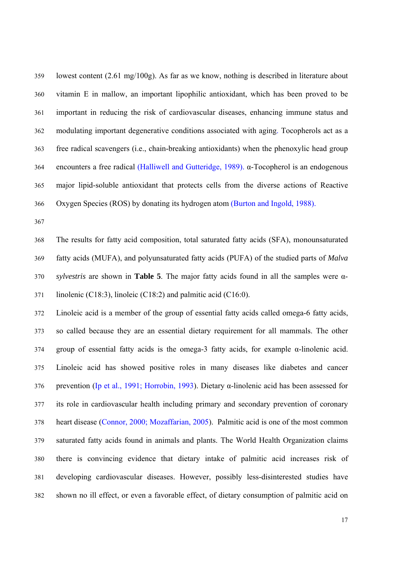359 lowest content (2.61 mg/100g). As far as we know, nothing is described in literature about 360 vitamin E in mallow, an important lipophilic antioxidant, which has been proved to be 361 important in reducing the risk of cardiovascular diseases, enhancing immune status and 362 modulating important degenerative conditions associated with aging. Tocopherols act as a 363 free radical scavengers (i.e., chain-breaking antioxidants) when the phenoxylic head group 364 encounters a free radical (Halliwell and Gutteridge, 1989). α-Tocopherol is an endogenous 365 major lipid-soluble antioxidant that protects cells from the diverse actions of Reactive 366 Oxygen Species (ROS) by donating its hydrogen atom (Burton and Ingold, 1988).

367

368 The results for fatty acid composition, total saturated fatty acids (SFA), monounsaturated 369 fatty acids (MUFA), and polyunsaturated fatty acids (PUFA) of the studied parts of *Malva*  370 *sylvestris* are shown in **Table 5**. The major fatty acids found in all the samples were α-371 linolenic (C18:3), linoleic (C18:2) and palmitic acid (C16:0).

372 Linoleic acid is a member of the group of essential fatty acids called omega-6 fatty acids, 373 so called because they are an essential dietary requirement for all mammals. The other 374 group of essential fatty acids is the omega-3 fatty acids, for example α-linolenic acid. 375 Linoleic acid has showed positive roles in many diseases like diabetes and cancer 376 prevention (Ip et al., 1991; Horrobin, 1993). Dietary α-linolenic acid has been assessed for 377 its role in cardiovascular health including primary and secondary prevention of coronary 378 heart disease (Connor, 2000; Mozaffarian, 2005). Palmitic acid is one of the most common 379 saturated fatty acids found in animals and plants. The World Health Organization claims 380 there is convincing evidence that dietary intake of palmitic acid increases risk of 381 developing cardiovascular diseases. However, possibly less-disinterested studies have 382 shown no ill effect, or even a favorable effect, of dietary consumption of palmitic acid on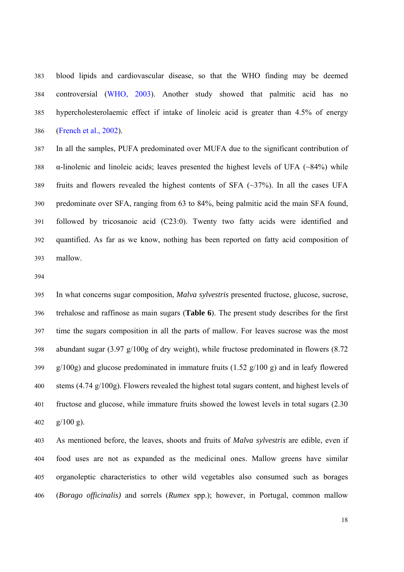383 blood lipids and cardiovascular disease, so that the WHO finding may be deemed 384 controversial (WHO, 2003). Another study showed that palmitic acid has no 385 hypercholesterolaemic effect if intake of linoleic acid is greater than 4.5% of energy 386 (French et al., 2002).

387 In all the samples, PUFA predominated over MUFA due to the significant contribution of 388 α-linolenic and linoleic acids; leaves presented the highest levels of UFA (~84%) while 389 fruits and flowers revealed the highest contents of SFA (~37%). In all the cases UFA 390 predominate over SFA, ranging from 63 to 84%, being palmitic acid the main SFA found, 391 followed by tricosanoic acid (C23:0). Twenty two fatty acids were identified and 392 quantified. As far as we know, nothing has been reported on fatty acid composition of 393 mallow.

394

395 In what concerns sugar composition, *Malva sylvestris* presented fructose, glucose, sucrose, 396 trehalose and raffinose as main sugars (**Table 6**). The present study describes for the first 397 time the sugars composition in all the parts of mallow. For leaves sucrose was the most 398 abundant sugar (3.97 g/100g of dry weight), while fructose predominated in flowers (8.72  $399$  g/100g) and glucose predominated in immature fruits (1.52 g/100 g) and in leafy flowered 400 stems (4.74 g/100g). Flowers revealed the highest total sugars content, and highest levels of 401 fructose and glucose, while immature fruits showed the lowest levels in total sugars (2.30 402 g/100 g).

403 As mentioned before, the leaves, shoots and fruits of *Malva sylvestris* are edible, even if 404 food uses are not as expanded as the medicinal ones. Mallow greens have similar 405 organoleptic characteristics to other wild vegetables also consumed such as borages 406 (*Borago officinalis)* and sorrels (*Rumex* spp.); however, in Portugal, common mallow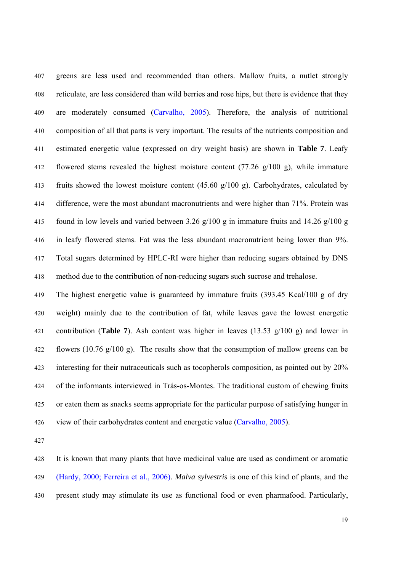407 greens are less used and recommended than others. Mallow fruits, a nutlet strongly 408 reticulate, are less considered than wild berries and rose hips, but there is evidence that they 409 are moderately consumed (Carvalho, 2005). Therefore, the analysis of nutritional 410 composition of all that parts is very important. The results of the nutrients composition and 411 estimated energetic value (expressed on dry weight basis) are shown in **Table 7**. Leafy 412 flowered stems revealed the highest moisture content (77.26 g/100 g), while immature 413 fruits showed the lowest moisture content (45.60 g/100 g). Carbohydrates, calculated by 414 difference, were the most abundant macronutrients and were higher than 71%. Protein was 415 found in low levels and varied between 3.26 g/100 g in immature fruits and 14.26 g/100 g 416 in leafy flowered stems. Fat was the less abundant macronutrient being lower than 9%. 417 Total sugars determined by HPLC-RI were higher than reducing sugars obtained by DNS 418 method due to the contribution of non-reducing sugars such sucrose and trehalose.

419 The highest energetic value is guaranteed by immature fruits (393.45 Kcal/100 g of dry 420 weight) mainly due to the contribution of fat, while leaves gave the lowest energetic 421 contribution (**Table 7**). Ash content was higher in leaves (13.53 g/100 g) and lower in 422 flowers (10.76 g/100 g). The results show that the consumption of mallow greens can be 423 interesting for their nutraceuticals such as tocopherols composition, as pointed out by 20% 424 of the informants interviewed in Trás-os-Montes. The traditional custom of chewing fruits 425 or eaten them as snacks seems appropriate for the particular purpose of satisfying hunger in 426 view of their carbohydrates content and energetic value (Carvalho, 2005).

427

428 It is known that many plants that have medicinal value are used as condiment or aromatic 429 (Hardy, 2000; Ferreira et al., 2006). *Malva sylvestris* is one of this kind of plants, and the 430 present study may stimulate its use as functional food or even pharmafood. Particularly,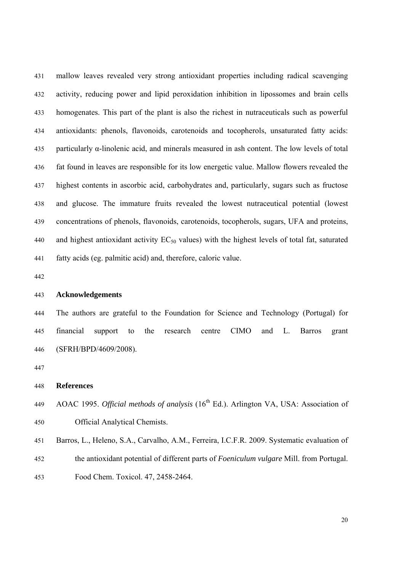431 mallow leaves revealed very strong antioxidant properties including radical scavenging 432 activity, reducing power and lipid peroxidation inhibition in lipossomes and brain cells 433 homogenates. This part of the plant is also the richest in nutraceuticals such as powerful 434 antioxidants: phenols, flavonoids, carotenoids and tocopherols, unsaturated fatty acids: 435 particularly α-linolenic acid, and minerals measured in ash content. The low levels of total 436 fat found in leaves are responsible for its low energetic value. Mallow flowers revealed the 437 highest contents in ascorbic acid, carbohydrates and, particularly, sugars such as fructose 438 and glucose. The immature fruits revealed the lowest nutraceutical potential (lowest 439 concentrations of phenols, flavonoids, carotenoids, tocopherols, sugars, UFA and proteins, 440 and highest antioxidant activity  $EC_{50}$  values) with the highest levels of total fat, saturated 441 fatty acids (eg. palmitic acid) and, therefore, caloric value.

442

# 443 **Acknowledgements**

444 The authors are grateful to the Foundation for Science and Technology (Portugal) for 445 financial support to the research centre CIMO and L. Barros grant 446 (SFRH/BPD/4609/2008).

447

## 448 **References**

- AOAC 1995. *Official methods of analysis* (16<sup>th</sup> Ed.). Arlington VA, USA: Association of 450 Official Analytical Chemists.
- 451 Barros, L., Heleno, S.A., Carvalho, A.M., Ferreira, I.C.F.R. 2009. Systematic evaluation of 452 the antioxidant potential of different parts of *Foeniculum vulgare* Mill. from Portugal. 453 Food Chem. Toxicol. 47, 2458-2464.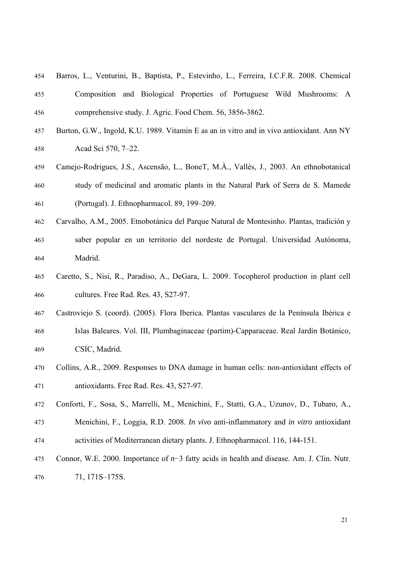| 454 | Barros, L., Venturini, B., Baptista, P., Estevinho, L., Ferreira, I.C.F.R. 2008. Chemical |
|-----|-------------------------------------------------------------------------------------------|
| 455 | Composition and Biological Properties of Portuguese Wild Mushrooms: A                     |
| 456 | comprehensive study. J. Agric. Food Chem. 56, 3856-3862.                                  |

- 457 Burton, G.W., Ingold, K.U. 1989. Vitamin E as an in vitro and in vivo antioxidant. Ann NY 458 Acad Sci 570, 7–22.
- 459 Camejo-Rodrigues, J.S., Ascensão, L., BoneT, M.À., Vallès, J., 2003. An ethnobotanical 460 study of medicinal and aromatic plants in the Natural Park of Serra de S. Mamede 461 (Portugal). J. Ethnopharmacol. 89, 199–209.
- 462 Carvalho, A.M., 2005. Etnobotánica del Parque Natural de Montesinho. Plantas, tradición y 463 saber popular en un territorio del nordeste de Portugal. Universidad Autónoma, 464 Madrid.
- 465 Caretto, S., Nisi, R., Paradiso, A., DeGara, L. 2009. Tocopherol production in plant cell 466 cultures. Free Rad. Res. 43, S27-97.
- 467 Castroviejo S. (coord). (2005). Flora Iberica. Plantas vasculares de la Península Ibérica e 468 Islas Baleares. Vol. III, Plumbaginaceae (partim)-Capparaceae. Real Jardín Botánico, 469 CSIC, Madrid.
- 470 Collins, A.R., 2009. Responses to DNA damage in human cells: non-antioxidant effects of 471 antioxidants. Free Rad. Res. 43, S27-97.
- 472 Conforti, F., Sosa, S., Marrelli, M., Menichini, F., Statti, G.A., Uzunov, D., Tubaro, A.,
- 473 Menichini, F., Loggia, R.D. 2008. *In vivo* anti-inflammatory and *in vitro* antioxidant 474 activities of Mediterranean dietary plants. J. Ethnopharmacol. 116, 144-151.
- 475 Connor, W.E. 2000. Importance of *n*−3 fatty acids in health and disease. Am. J. Clin. Nutr. 476 71, 171S–175S.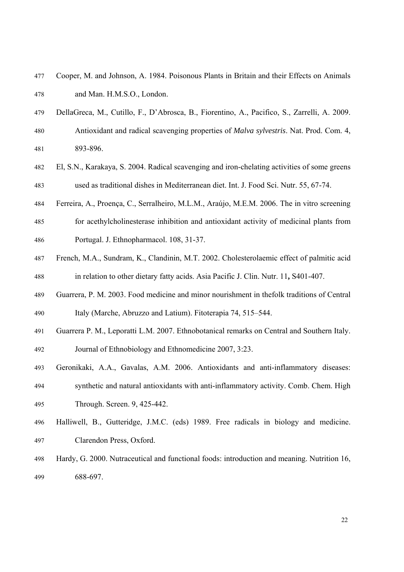- 477 Cooper, M. and Johnson, A. 1984. Poisonous Plants in Britain and their Effects on Animals 478 and Man. H.M.S.O., London.
- 479 DellaGreca, M., Cutillo, F., D'Abrosca, B., Fiorentino, A., Pacifico, S., Zarrelli, A. 2009.
- 480 Antioxidant and radical scavenging properties of *Malva sylvestris*. Nat. Prod. Com. 4, 481 893-896.
- 482 El, S.N., Karakaya, S. 2004. Radical scavenging and iron-chelating activities of some greens 483 used as traditional dishes in Mediterranean diet. Int. J. Food Sci. Nutr. 55, 67-74.
- 484 Ferreira, A., Proença, C., Serralheiro, M.L.M., Araújo, M.E.M. 2006. The in vitro screening
- 485 for acethylcholinesterase inhibition and antioxidant activity of medicinal plants from 486 Portugal. J. Ethnopharmacol. 108, 31-37.
- 487 French, M.A., Sundram, K., Clandinin, M.T. 2002. Cholesterolaemic effect of palmitic acid 488 in relation to other dietary fatty acids. Asia Pacific J. Clin. Nutr. 11**,** S401-407.
- 489 Guarrera, P. M. 2003. Food medicine and minor nourishment in thefolk traditions of Central 490 Italy (Marche, Abruzzo and Latium). Fitoterapia 74, 515–544.
- 491 Guarrera P. M., Leporatti L.M. 2007. Ethnobotanical remarks on Central and Southern Italy. 492 Journal of Ethnobiology and Ethnomedicine 2007, 3:23.
- 493 Geronikaki, A.A., Gavalas, A.M. 2006. Antioxidants and anti-inflammatory diseases: 494 synthetic and natural antioxidants with anti-inflammatory activity. Comb. Chem. High 495 Through. Screen. 9, 425-442.
- 496 Halliwell, B., Gutteridge, J.M.C. (eds) 1989. Free radicals in biology and medicine. 497 Clarendon Press, Oxford.
- 498 Hardy, G. 2000. Nutraceutical and functional foods: introduction and meaning. Nutrition 16, 499 688-697.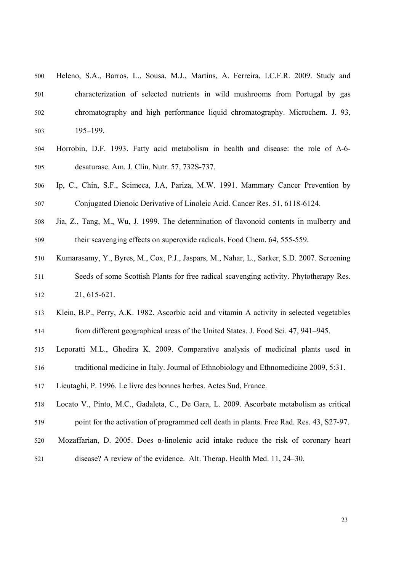- 500 Heleno, S.A., Barros, L., Sousa, M.J., Martins, A. Ferreira, I.C.F.R. 2009. Study and 501 characterization of selected nutrients in wild mushrooms from Portugal by gas 502 chromatography and high performance liquid chromatography. Microchem. J. 93, 503 195–199.
- 504 Horrobin, D.F. 1993. Fatty acid metabolism in health and disease: the role of Δ-6- 505 desaturase. Am. J. Clin. Nutr. 57, 732S-737.
- 506 Ip, C., Chin, S.F., Scimeca, J.A, Pariza, M.W. 1991. Mammary Cancer Prevention by 507 Conjugated Dienoic Derivative of Linoleic Acid. Cancer Res. 51, 6118-6124.
- 508 Jia, Z., Tang, M., Wu, J. 1999. The determination of flavonoid contents in mulberry and 509 their scavenging effects on superoxide radicals. Food Chem. 64, 555-559.
- 510 Kumarasamy, Y., Byres, M., Cox, P.J., Jaspars, M., Nahar, L., Sarker, S.D. 2007. Screening 511 Seeds of some Scottish Plants for free radical scavenging activity. Phytotherapy Res. 512 21, 615-621.
- 513 Klein, B.P., Perry, A.K. 1982. Ascorbic acid and vitamin A activity in selected vegetables 514 from different geographical areas of the United States. J. Food Sci. 47, 941–945.
- 515 Leporatti M.L., Ghedira K. 2009. Comparative analysis of medicinal plants used in 516 traditional medicine in Italy. Journal of Ethnobiology and Ethnomedicine 2009, 5:31.
- 517 Lieutaghi, P. 1996. Le livre des bonnes herbes. Actes Sud, France.
- 518 Locato V., Pinto, M.C., Gadaleta, C., De Gara, L. 2009. Ascorbate metabolism as critical 519 point for the activation of programmed cell death in plants. Free Rad. Res. 43, S27-97.
- 520 Mozaffarian, D. 2005. Does  $\alpha$ -linolenic acid intake reduce the risk of coronary heart 521 disease? A review of the evidence. Alt. Therap. Health Med. 11, 24–30.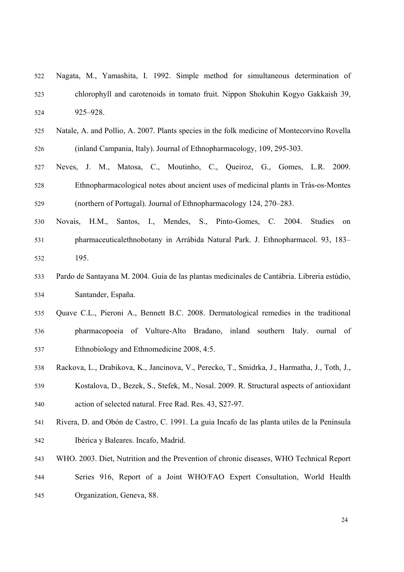| 522 | Nagata, M., Yamashita, I. 1992. Simple method for simultaneous determination of              |
|-----|----------------------------------------------------------------------------------------------|
| 523 | chlorophyll and carotenoids in tomato fruit. Nippon Shokuhin Kogyo Gakkaish 39,              |
| 524 | 925-928.                                                                                     |
| 525 | Natale, A. and Pollio, A. 2007. Plants species in the folk medicine of Montecorvino Rovella  |
| 526 | (inland Campania, Italy). Journal of Ethnopharmacology, 109, 295-303.                        |
| 527 | Neves, J. M., Matosa, C., Moutinho, C., Queiroz, G., Gomes, L.R. 2009.                       |
| 528 | Ethnopharmacological notes about ancient uses of medicinal plants in Trás-os-Montes          |
| 529 | (northern of Portugal). Journal of Ethnopharmacology 124, 270–283.                           |
| 530 | Novais, H.M., Santos, I., Mendes, S., Pinto-Gomes, C. 2004.<br>Studies<br>on                 |
| 531 | pharmaceuticalethnobotany in Arrábida Natural Park. J. Ethnopharmacol. 93, 183-              |
| 532 | 195.                                                                                         |
| 533 | Pardo de Santayana M. 2004. Guia de las plantas medicinales de Cantábria. Libreria estúdio,  |
| 534 | Santander, España.                                                                           |
| 535 | Quave C.L., Pieroni A., Bennett B.C. 2008. Dermatological remedies in the traditional        |
| 536 | pharmacopoeia of Vulture-Alto Bradano, inland southern Italy. ournal of                      |
| 537 | Ethnobiology and Ethnomedicine 2008, 4:5.                                                    |
| 538 | Rackova, L., Drabikova, K., Jancinova, V., Perecko, T., Smidrka, J., Harmatha, J., Toth, J., |
| 539 | Kostalova, D., Bezek, S., Stefek, M., Nosal. 2009. R. Structural aspects of antioxidant      |
| 540 | action of selected natural. Free Rad. Res. 43, S27-97.                                       |
| 541 | Rivera, D. and Obón de Castro, C. 1991. La guia Incafo de las planta utiles de la Península  |
| 542 | Ibérica y Baleares. Incafo, Madrid.                                                          |
| 543 | WHO. 2003. Diet, Nutrition and the Prevention of chronic diseases, WHO Technical Report      |
| 544 | Series 916, Report of a Joint WHO/FAO Expert Consultation, World Health                      |
| 545 | Organization, Geneva, 88.                                                                    |
|     |                                                                                              |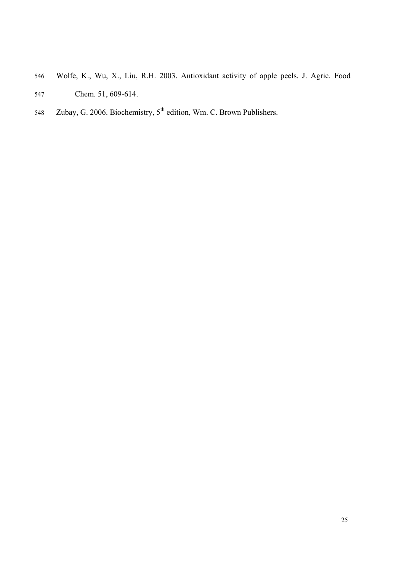- 546 Wolfe, K., Wu, X., Liu, R.H. 2003. Antioxidant activity of apple peels. J. Agric. Food 547 Chem. 51, 609-614.
- 548 Zubay, G. 2006. Biochemistry, 5<sup>th</sup> edition, Wm. C. Brown Publishers.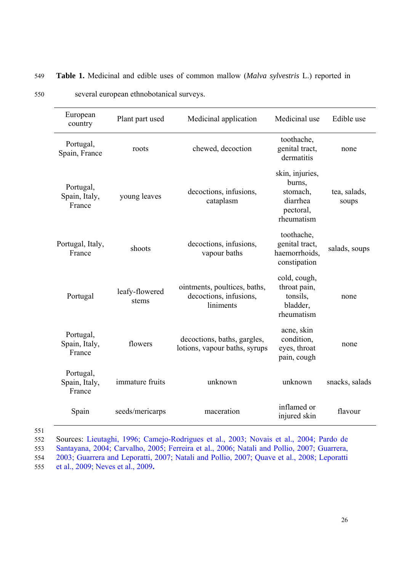| European<br>country                  | Plant part used                                     | Medicinal application                                               | Medicinal use                                                                | Edible use            |
|--------------------------------------|-----------------------------------------------------|---------------------------------------------------------------------|------------------------------------------------------------------------------|-----------------------|
| Portugal,<br>Spain, France           | roots                                               | chewed, decoction                                                   | toothache,<br>genital tract,<br>dermatitis                                   | none                  |
| Portugal,<br>Spain, Italy,<br>France | decoctions, infusions,<br>young leaves<br>cataplasm |                                                                     | skin, injuries,<br>burns,<br>stomach,<br>diarrhea<br>pectoral,<br>rheumatism | tea, salads,<br>soups |
| Portugal, Italy,<br>France           | shoots                                              | decoctions, infusions,<br>vapour baths                              | toothache,<br>genital tract,<br>haemorrhoids,<br>constipation                | salads, soups         |
| Portugal                             | leafy-flowered<br>stems                             | ointments, poultices, baths,<br>decoctions, infusions,<br>liniments | cold, cough,<br>throat pain,<br>tonsils,<br>bladder,<br>rheumatism           | none                  |
| Portugal,<br>Spain, Italy,<br>France | flowers                                             | decoctions, baths, gargles,<br>lotions, vapour baths, syrups        | acne, skin<br>condition,<br>eyes, throat<br>pain, cough                      | none                  |
| Portugal,<br>Spain, Italy,<br>France | immature fruits                                     | unknown                                                             | unknown                                                                      | snacks, salads        |
| Spain                                | seeds/mericarps                                     | maceration                                                          | inflamed or<br>injured skin                                                  | flavour               |

# 549 **Table 1.** Medicinal and edible uses of common mallow (*Malva sylvestris* L.) reported in

550 several european ethnobotanical surveys.

551

552 Sources: Lieutaghi, 1996; Camejo-Rodrigues et al., 2003; Novais et al., 2004; Pardo de 553 Santayana, 2004; Carvalho, 2005; Ferreira et al., 2006; Natali and Pollio, 2007; Guarrera, 554 2003; Guarrera and Leporatti, 2007; Natali and Pollio, 2007; Quave et al., 2008; Leporatti

555 et al., 2009; Neves et al., 2009**.**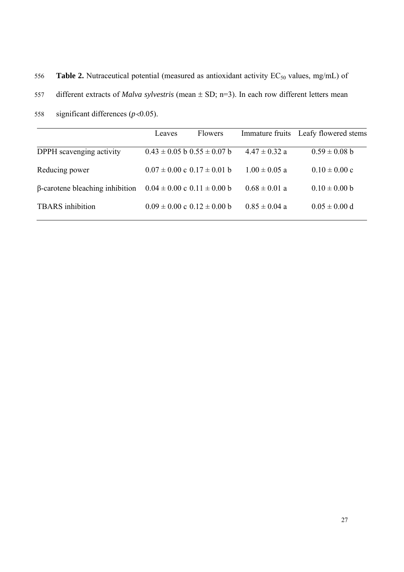556 **Table 2.** Nutraceutical potential (measured as antioxidant activity EC<sub>50</sub> values, mg/mL) of

557 different extracts of *Malva sylvestris* (mean ± SD; n=3). In each row different letters mean

558 significant differences (*p*<0.05).

|                                        | Leaves | <b>Flowers</b>                      |                   | Immature fruits Leafy flowered stems |
|----------------------------------------|--------|-------------------------------------|-------------------|--------------------------------------|
| DPPH scavenging activity               |        | $0.43 \pm 0.05$ b $0.55 \pm 0.07$ b | $4.47 \pm 0.32$ a | $0.59 \pm 0.08$ b                    |
| Reducing power                         |        | $0.07 \pm 0.00$ c $0.17 \pm 0.01$ b | $1.00 \pm 0.05$ a | $0.10 \pm 0.00$ c                    |
| $\beta$ -carotene bleaching inhibition |        | $0.04 \pm 0.00$ c $0.11 \pm 0.00$ b | $0.68 \pm 0.01$ a | $0.10 \pm 0.00$ b                    |
| <b>TBARS</b> inhibition                |        | $0.09 \pm 0.00$ c $0.12 \pm 0.00$ b | $0.85 \pm 0.04$ a | $0.05 \pm 0.00$ d                    |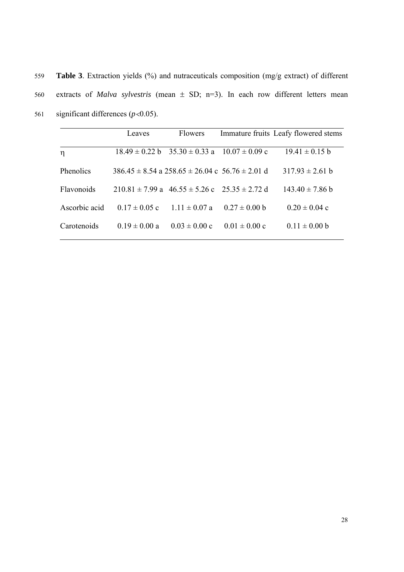559 **Table 3**. Extraction yields (%) and nutraceuticals composition (mg/g extract) of different 560 extracts of *Malva sylvestris* (mean ± SD; n=3). In each row different letters mean 561 significant differences  $(p<0.05)$ .

|               | Leaves            | <b>Flowers</b>                                                                   |                   | Immature fruits Leafy flowered stems |
|---------------|-------------------|----------------------------------------------------------------------------------|-------------------|--------------------------------------|
| η             |                   | $18.49 \pm 0.22 \text{ b}$ $35.30 \pm 0.33 \text{ a}$ $10.07 \pm 0.09 \text{ c}$ |                   | $19.41 \pm 0.15$ b                   |
| Phenolics     |                   | 386 45 ± 8 54 a 258 65 ± 26 04 c 56 76 ± 2 01 d                                  |                   | $31793 \pm 261$ b                    |
| Flavonoids    |                   | $210.81 \pm 7.99$ a $46.55 \pm 5.26$ c $25.35 \pm 2.72$ d                        |                   | $143.40 \pm 7.86$ b                  |
| Ascorbic acid | $0.17 \pm 0.05$ c | $111 \pm 0.07$ a                                                                 | $0.27 \pm 0.00$ b | $0.20 \pm 0.04$ c                    |
| Carotenoids   | $0.19 \pm 0.00 a$ | $0.03 \pm 0.00$ c                                                                | $0.01 \pm 0.00$ c | $0.11 \pm 0.00$ b                    |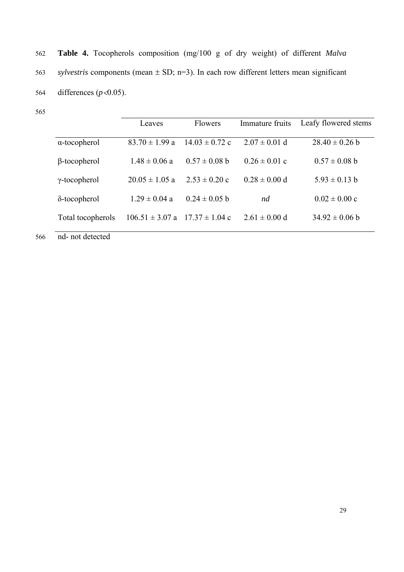562 **Table 4.** Tocopherols composition (mg/100 g of dry weight) of different *Malva*  563 *sylvestris* components (mean ± SD; n=3). In each row different letters mean significant 564 differences (*p*<0.05).

565

|                      | Leaves                                 | Flowers            | Immature fruits   | Leafy flowered stems |
|----------------------|----------------------------------------|--------------------|-------------------|----------------------|
| $\alpha$ -tocopherol | $83.70 \pm 1.99$ a                     | $14.03 \pm 0.72$ c | $2.07 \pm 0.01$ d | $28.40 \pm 0.26$ b   |
| $\beta$ -tocopherol  | $1.48 \pm 0.06$ a                      | $0.57 \pm 0.08$ b  | $0.26 \pm 0.01$ c | $0.57 \pm 0.08$ b    |
| $\gamma$ -tocopherol | $20.05 \pm 1.05$ a                     | $2.53 \pm 0.20$ c  | $0.28 \pm 0.00$ d | $5.93 \pm 0.13$ b    |
| $\delta$ -tocopherol | $1.29 \pm 0.04$ a                      | $0.24 \pm 0.05$ b  | nd                | $0.02 \pm 0.00$ c    |
| Total tocopherols    | $106.51 \pm 3.07$ a $17.37 \pm 1.04$ c |                    | $2.61 \pm 0.00$ d | $34.92 \pm 0.06$ b   |

566 nd- not detected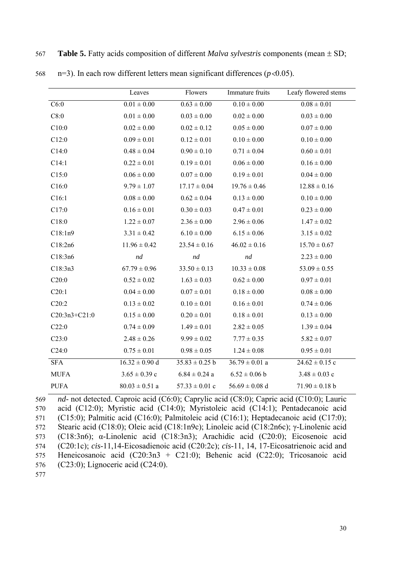|               | Leaves             | Flowers            | Immature fruits    | Leafy flowered stems |
|---------------|--------------------|--------------------|--------------------|----------------------|
| C6:0          | $0.01 \pm 0.00$    | $0.63 \pm 0.00$    | $0.10 \pm 0.00$    | $0.08 \pm 0.01$      |
| C8:0          | $0.01 \pm 0.00$    | $0.03 \pm 0.00$    | $0.02 \pm 0.00$    | $0.03 \pm 0.00$      |
| C10:0         | $0.02 \pm 0.00$    | $0.02 \pm 0.12$    | $0.05 \pm 0.00$    | $0.07 \pm 0.00$      |
| C12:0         | $0.09 \pm 0.01$    | $0.12 \pm 0.01$    | $0.10 \pm 0.00$    | $0.10 \pm 0.00$      |
| C14:0         | $0.48 \pm 0.04$    | $0.90 \pm 0.10$    | $0.71 \pm 0.04$    | $0.60 \pm 0.01$      |
| C14:1         | $0.22 \pm 0.01$    | $0.19 \pm 0.01$    | $0.06 \pm 0.00$    | $0.16 \pm 0.00$      |
| C15:0         | $0.06 \pm 0.00$    | $0.07 \pm 0.00$    | $0.19 \pm 0.01$    | $0.04\pm0.00$        |
| C16:0         | $9.79 \pm 1.07$    | $17.17 \pm 0.04$   | $19.76 \pm 0.46$   | $12.88 \pm 0.16$     |
| C16:1         | $0.08 \pm 0.00$    | $0.62 \pm 0.04$    | $0.13 \pm 0.00$    | $0.10 \pm 0.00$      |
| C17:0         | $0.16 \pm 0.01$    | $0.30 \pm 0.03$    | $0.47 \pm 0.01$    | $0.23 \pm 0.00$      |
| C18:0         | $1.22 \pm 0.07$    | $2.36 \pm 0.00$    | $2.96 \pm 0.06$    | $1.47 \pm 0.02$      |
| C18:1n9       | $3.31 \pm 0.42$    | $6.10 \pm 0.00$    | $6.15 \pm 0.06$    | $3.15 \pm 0.02$      |
| C18:2n6       | $11.96 \pm 0.42$   | $23.54 \pm 0.16$   | $46.02 \pm 0.16$   | $15.70 \pm 0.67$     |
| C18:3n6       | nd                 | nd                 | nd                 | $2.23 \pm 0.00$      |
| C18:3n3       | $67.79 \pm 0.96$   | $33.50 \pm 0.13$   | $10.33 \pm 0.08$   | $53.09 \pm 0.55$     |
| C20:0         | $0.52 \pm 0.02$    | $1.63 \pm 0.03$    | $0.62 \pm 0.00$    | $0.97 \pm 0.01$      |
| C20:1         | $0.04 \pm 0.00$    | $0.07 \pm 0.01$    | $0.18 \pm 0.00$    | $0.08\pm0.00$        |
| C20:2         | $0.13 \pm 0.02$    | $0.10 \pm 0.01$    | $0.16 \pm 0.01$    | $0.74 \pm 0.06$      |
| C20:3n3+C21:0 | $0.15 \pm 0.00$    | $0.20 \pm 0.01$    | $0.18 \pm 0.01$    | $0.13 \pm 0.00$      |
| C22:0         | $0.74 \pm 0.09$    | $1.49 \pm 0.01$    | $2.82 \pm 0.05$    | $1.39 \pm 0.04$      |
| C23:0         | $2.48 \pm 0.26$    | $9.99 \pm 0.02$    | $7.77 \pm 0.35$    | $5.82 \pm 0.07$      |
| C24:0         | $0.75 \pm 0.01$    | $0.98 \pm 0.05$    | $1.24 \pm 0.08$    | $0.95 \pm 0.01$      |
| <b>SFA</b>    | $16.32 \pm 0.90$ d | $35.83 \pm 0.25$ b | $36.79 \pm 0.01$ a | $24.62 \pm 0.15$ c   |
| <b>MUFA</b>   | $3.65 \pm 0.39$ c  | $6.84 \pm 0.24$ a  | $6.52 \pm 0.06$ b  | $3.48 \pm 0.03$ c    |
| <b>PUFA</b>   | $80.03 \pm 0.51$ a | $57.33 \pm 0.01$ c | $56.69 \pm 0.08$ d | $71.90 \pm 0.18$ b   |
|               |                    |                    |                    |                      |

569 *nd*- not detected. Caproic acid (C6:0); Caprylic acid (C8:0); Capric acid (C10:0); Lauric 570 acid (C12:0); Myristic acid (C14:0); Myristoleic acid (C14:1); Pentadecanoic acid 571 (C15:0); Palmitic acid (C16:0); Palmitoleic acid (C16:1); Heptadecanoic acid (C17:0); 572 Stearic acid (C18:0); Oleic acid (C18:1n9c); Linoleic acid (C18:2n6c); γ-Linolenic acid 573 (C18:3n6); α-Linolenic acid (C18:3n3); Arachidic acid (C20:0); Eicosenoic acid 574 (C20:1c); *cis*-11,14-Eicosadienoic acid (C20:2c); *cis*-11, 14, 17-Eicosatrienoic acid and 575 Heneicosanoic acid (C20:3n3 + C21:0); Behenic acid (C22:0); Tricosanoic acid 576 (C23:0); Lignoceric acid (C24:0).

568 n=3). In each row different letters mean significant differences  $(p<0.05)$ .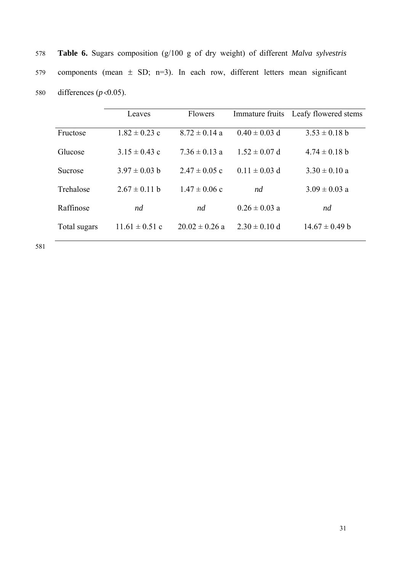| 578 | <b>Table 6.</b> Sugars composition $(g/100 g \text{ of dry weight})$ of different <i>Malva sylvestris</i> |
|-----|-----------------------------------------------------------------------------------------------------------|
| 579 | components (mean $\pm$ SD; n=3). In each row, different letters mean significant                          |
| 580 | differences $(p<0.05)$ .                                                                                  |

|              | Leaves             | Flowers            |                   | Immature fruits Leafy flowered stems |
|--------------|--------------------|--------------------|-------------------|--------------------------------------|
| Fructose     | $1.82 \pm 0.23$ c  | $8.72 \pm 0.14$ a  | $0.40 \pm 0.03$ d | $3.53 \pm 0.18$ b                    |
| Glucose      | $3.15 \pm 0.43$ c  | $7.36 \pm 0.13$ a  | $1.52 \pm 0.07$ d | $4.74 \pm 0.18$ b                    |
| Sucrose      | $3.97 \pm 0.03$ b  | $2.47 \pm 0.05$ c  | $0.11 \pm 0.03$ d | $3.30 \pm 0.10$ a                    |
| Trehalose    | $2.67 \pm 0.11$ b  | $1.47 \pm 0.06$ c  | nd                | $3.09 \pm 0.03$ a                    |
| Raffinose    | nd                 | nd                 | $0.26 \pm 0.03$ a | nd                                   |
| Total sugars | $11.61 \pm 0.51$ c | $20.02 \pm 0.26$ a | $2.30 \pm 0.10$ d | $14.67 \pm 0.49$ b                   |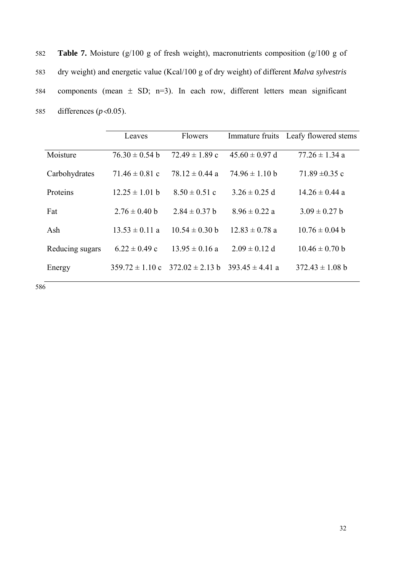582 **Table 7.** Moisture (g/100 g of fresh weight), macronutrients composition (g/100 g of 583 dry weight) and energetic value (Kcal/100 g of dry weight) of different *Malva sylvestris* 584 components (mean ± SD; n=3). In each row, different letters mean significant 585 differences (*p*<0.05).

|                 | Leaves             | <b>Flowers</b>                                          |                            | Immature fruits Leafy flowered stems |
|-----------------|--------------------|---------------------------------------------------------|----------------------------|--------------------------------------|
| Moisture        | $76.30 \pm 0.54$ b | $72.49 \pm 1.89$ c                                      | $45.60 \pm 0.97$ d         | $77.26 \pm 1.34$ a                   |
| Carbohydrates   | 71.46 $\pm$ 0.81 c | 78.12 $\pm$ 0.44 a                                      | $74.96 \pm 1.10 \text{ b}$ | 71.89 $\pm$ 0.35 c                   |
| Proteins        | $12.25 \pm 1.01$ b | $8.50 \pm 0.51$ c                                       | $3.26 \pm 0.25$ d          | $14.26 \pm 0.44$ a                   |
| Fat             | $2.76 \pm 0.40$ b  | $2.84 \pm 0.37$ b                                       | $8.96 \pm 0.22$ a          | $3.09 \pm 0.27$ b                    |
| Ash             | $13.53 \pm 0.11$ a | $10.54 \pm 0.30$ b                                      | $12.83 \pm 0.78$ a         | $10.76 \pm 0.04$ b                   |
| Reducing sugars | $6.22 \pm 0.49$ c  | $13.95 \pm 0.16$ a                                      | $2.09 \pm 0.12$ d          | $10.46 \pm 0.70$ b                   |
| Energy          |                    | $359.72 \pm 1.10 \text{ c}$ $372.02 \pm 2.13 \text{ b}$ | $393.45 \pm 4.41$ a        | $372.43 \pm 1.08$ b                  |
|                 |                    |                                                         |                            |                                      |